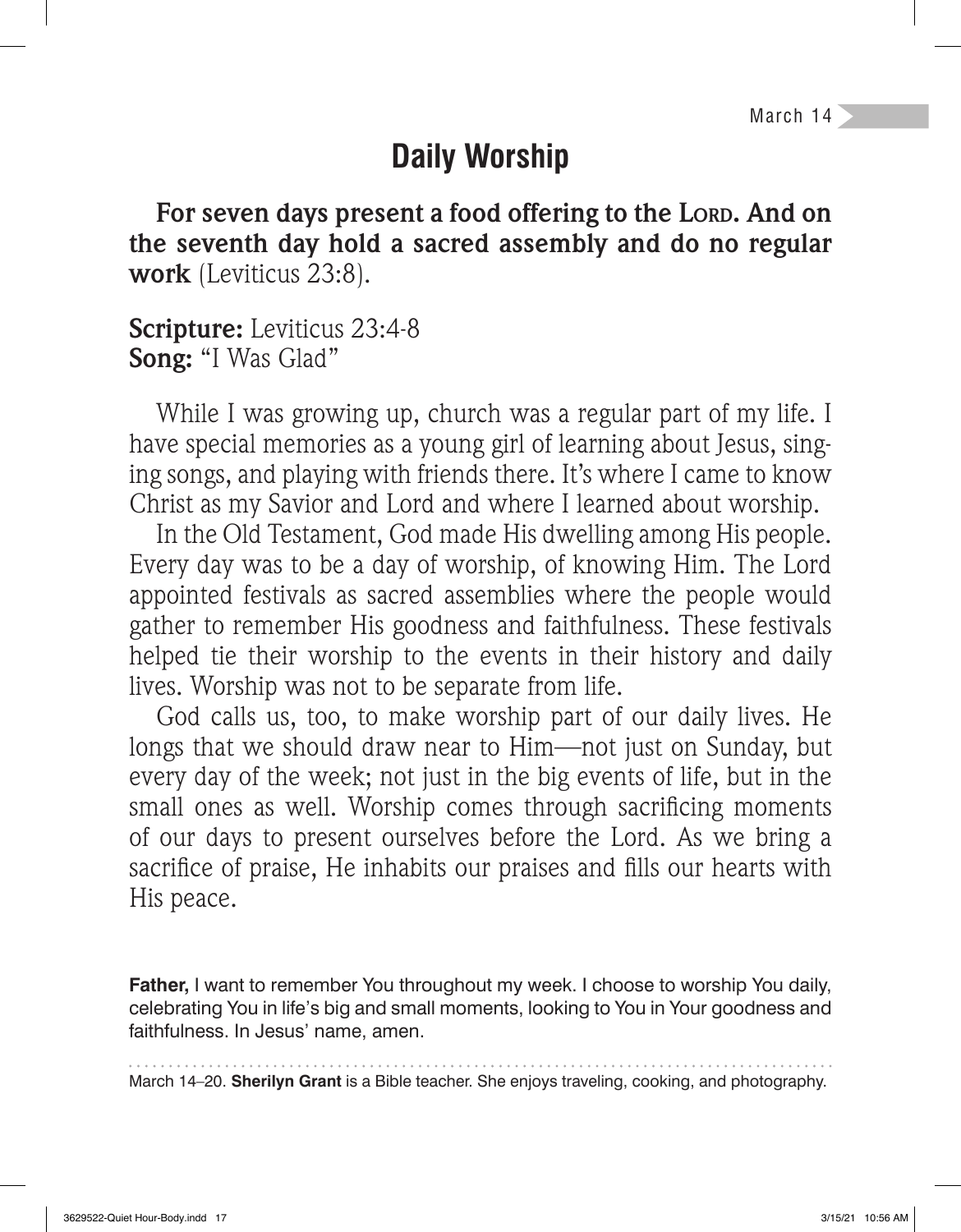March 14

## **Daily Worship**

**For seven days present a food offering to the LORD. And on the seventh day hold a sacred assembly and do no regular work** (Leviticus 23:8).

#### **Scripture:** Leviticus 23:4-8 **Song:** "I Was Glad"

While I was growing up, church was a regular part of my life. I have special memories as a young girl of learning about Jesus, singing songs, and playing with friends there. It's where I came to know Christ as my Savior and Lord and where I learned about worship.

In the Old Testament, God made His dwelling among His people. Every day was to be a day of worship, of knowing Him. The Lord appointed festivals as sacred assemblies where the people would gather to remember His goodness and faithfulness. These festivals helped tie their worship to the events in their history and daily lives. Worship was not to be separate from life.

God calls us, too, to make worship part of our daily lives. He longs that we should draw near to Him—not just on Sunday, but every day of the week; not just in the big events of life, but in the small ones as well. Worship comes through sacrificing moments of our days to present ourselves before the Lord. As we bring a sacrifice of praise, He inhabits our praises and fills our hearts with His peace.

**Father,** I want to remember You throughout my week. I choose to worship You daily, celebrating You in life's big and small moments, looking to You in Your goodness and faithfulness. In Jesus' name, amen.

March 14–20. **Sherilyn Grant** is a Bible teacher. She enjoys traveling, cooking, and photography.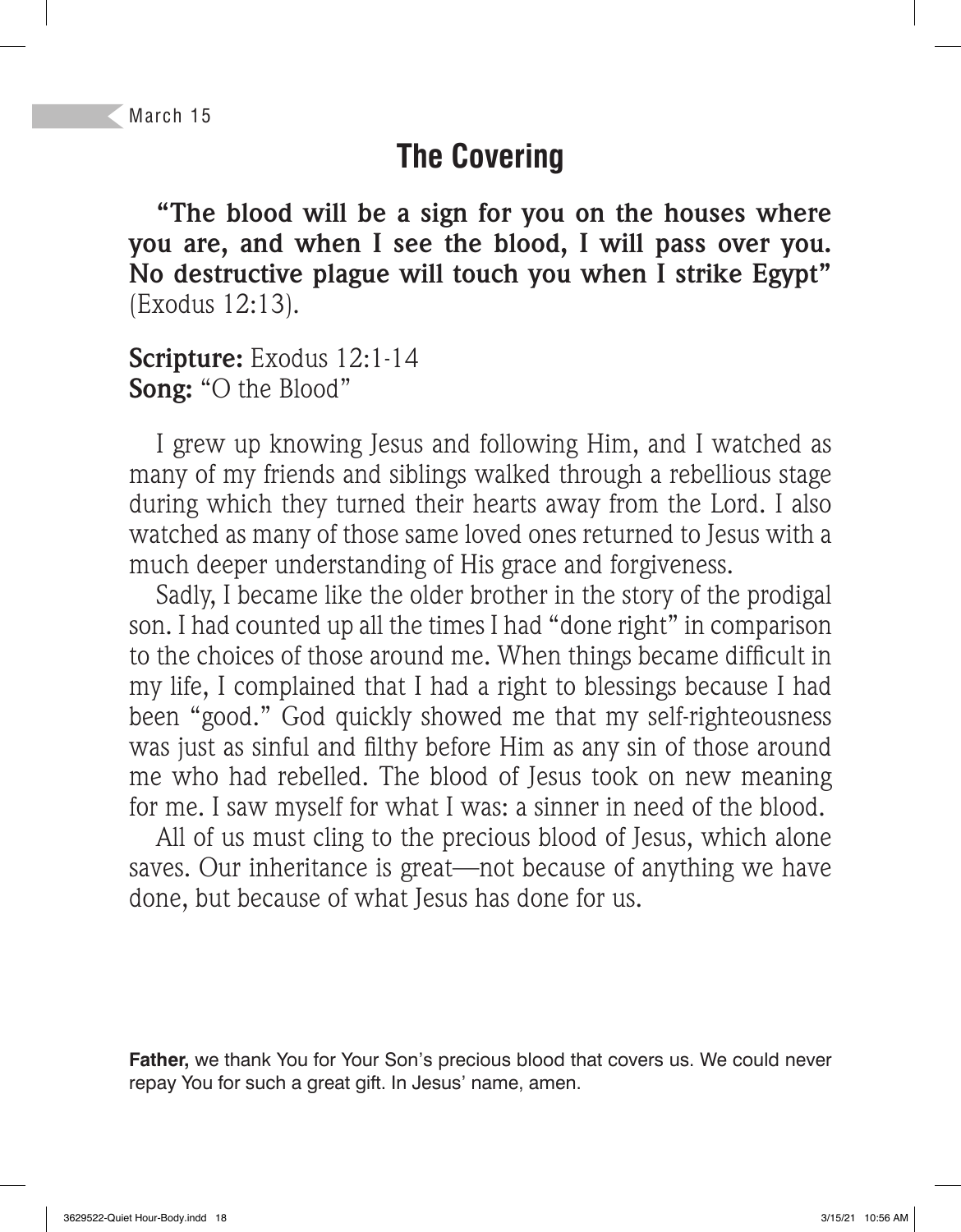## **The Covering**

**"The blood will be a sign for you on the houses where you are, and when I see the blood, I will pass over you. No destructive plague will touch you when I strike Egypt"**  (Exodus 12:13).

**Scripture:** Exodus 12:1-14 **Song:** "O the Blood"

I grew up knowing Jesus and following Him, and I watched as many of my friends and siblings walked through a rebellious stage during which they turned their hearts away from the Lord. I also watched as many of those same loved ones returned to Jesus with a much deeper understanding of His grace and forgiveness.

Sadly, I became like the older brother in the story of the prodigal son. I had counted up all the times I had "done right" in comparison to the choices of those around me. When things became difficult in my life, I complained that I had a right to blessings because I had been "good." God quickly showed me that my self-righteousness was just as sinful and filthy before Him as any sin of those around me who had rebelled. The blood of Jesus took on new meaning for me. I saw myself for what I was: a sinner in need of the blood.

All of us must cling to the precious blood of Jesus, which alone saves. Our inheritance is great—not because of anything we have done, but because of what Jesus has done for us.

**Father,** we thank You for Your Son's precious blood that covers us. We could never repay You for such a great gift. In Jesus' name, amen.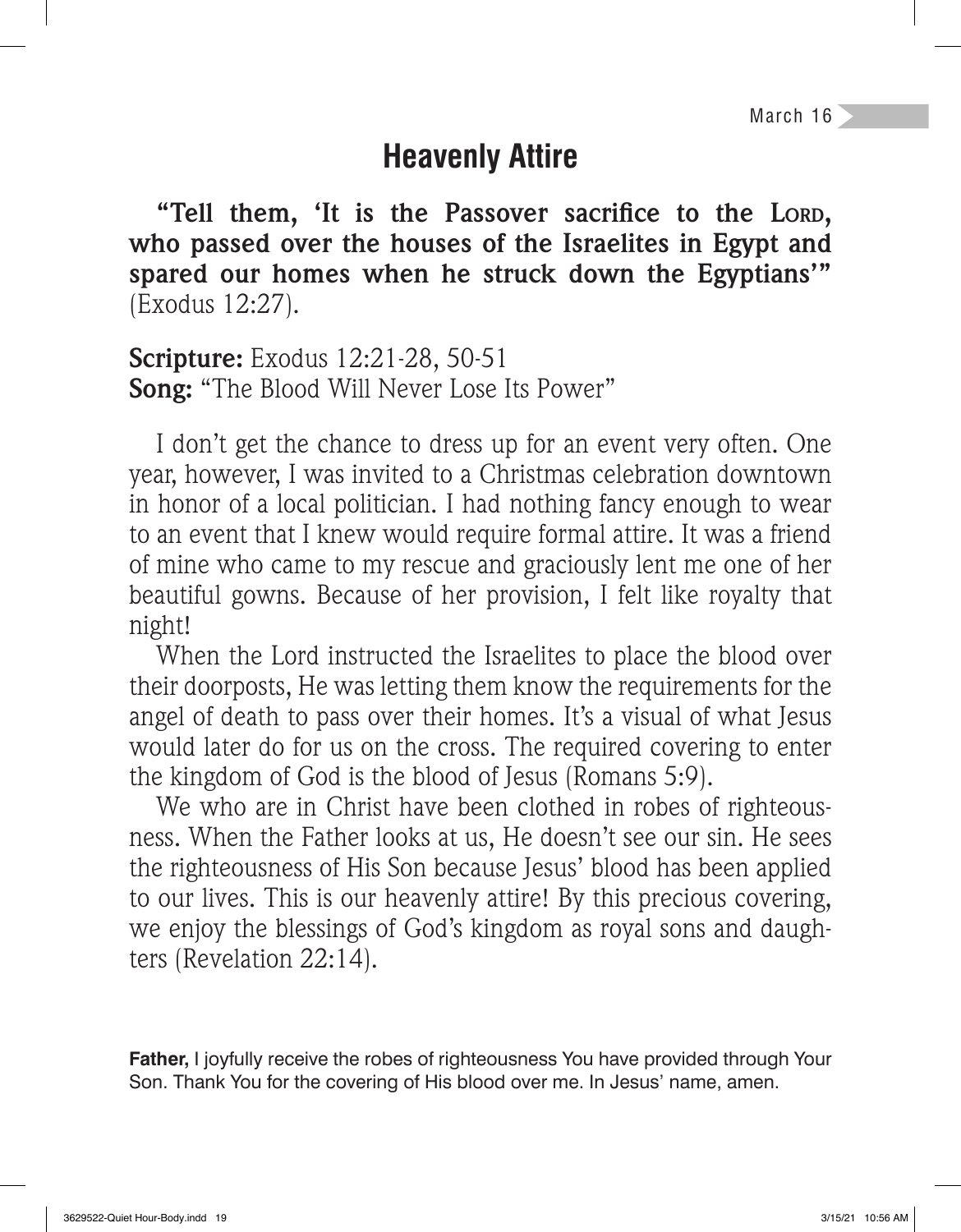March 16

## **Heavenly Attire**

"Tell them, 'It is the Passover sacrifice to the LORD, **who passed over the houses of the Israelites in Egypt and spared our homes when he struck down the Egyptians'"**  (Exodus 12:27).

**Scripture:** Exodus 12:21-28, 50-51 **Song:** "The Blood Will Never Lose Its Power"

I don't get the chance to dress up for an event very often. One year, however, I was invited to a Christmas celebration downtown in honor of a local politician. I had nothing fancy enough to wear to an event that I knew would require formal attire. It was a friend of mine who came to my rescue and graciously lent me one of her beautiful gowns. Because of her provision, I felt like royalty that night!

When the Lord instructed the Israelites to place the blood over their doorposts, He was letting them know the requirements for the angel of death to pass over their homes. It's a visual of what Jesus would later do for us on the cross. The required covering to enter the kingdom of God is the blood of Jesus (Romans 5:9).

We who are in Christ have been clothed in robes of righteousness. When the Father looks at us, He doesn't see our sin. He sees the righteousness of His Son because Jesus' blood has been applied to our lives. This is our heavenly attire! By this precious covering, we enjoy the blessings of God's kingdom as royal sons and daughters (Revelation 22:14).

**Father,** I joyfully receive the robes of righteousness You have provided through Your Son. Thank You for the covering of His blood over me. In Jesus' name, amen.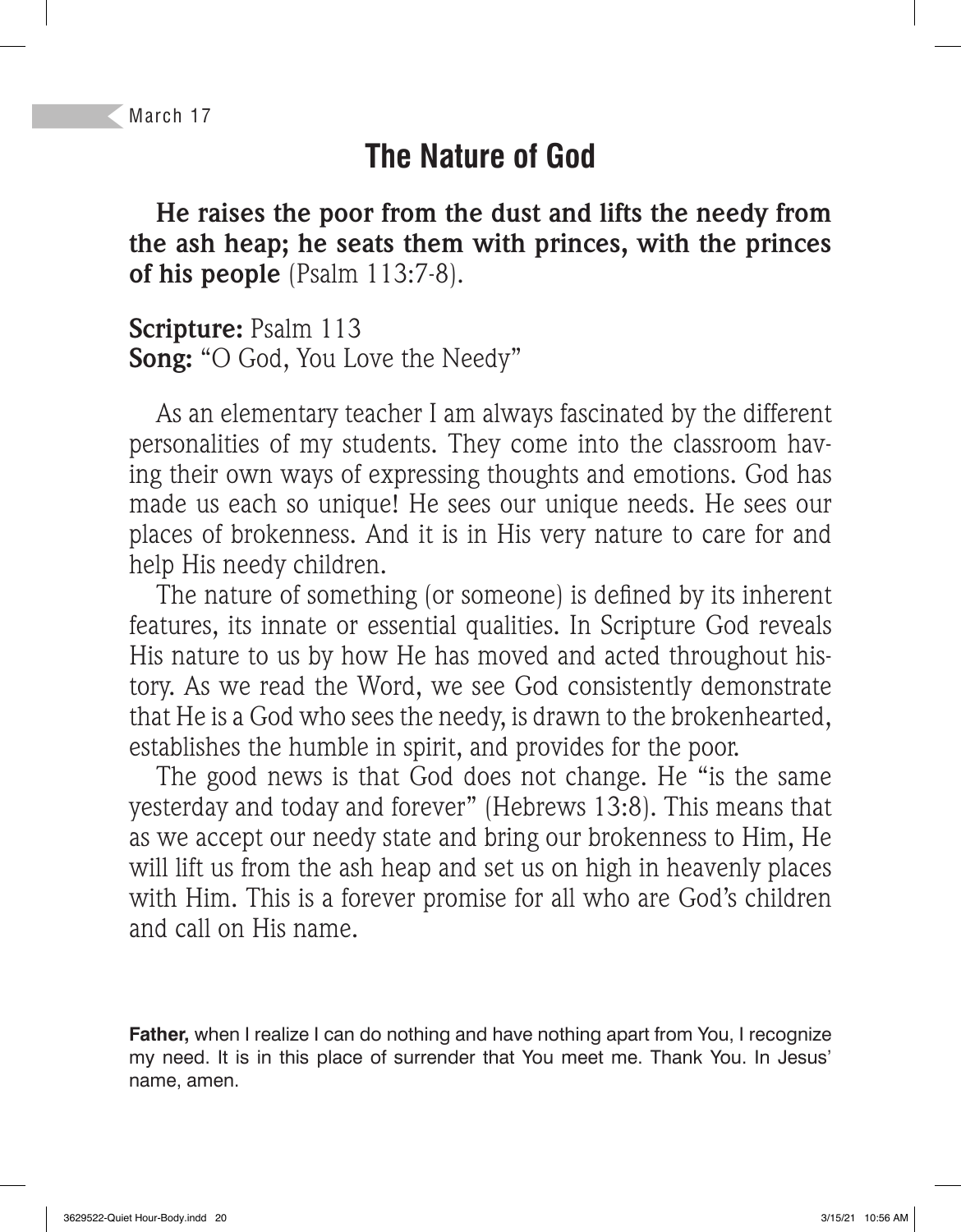# **The Nature of God**

**He raises the poor from the dust and lifts the needy from the ash heap; he seats them with princes, with the princes of his people** (Psalm 113:7-8).

**Scripture:** Psalm 113 **Song:** "O God, You Love the Needy"

As an elementary teacher I am always fascinated by the different personalities of my students. They come into the classroom having their own ways of expressing thoughts and emotions. God has made us each so unique! He sees our unique needs. He sees our places of brokenness. And it is in His very nature to care for and help His needy children.

The nature of something (or someone) is defined by its inherent features, its innate or essential qualities. In Scripture God reveals His nature to us by how He has moved and acted throughout history. As we read the Word, we see God consistently demonstrate that He is a God who sees the needy, is drawn to the brokenhearted, establishes the humble in spirit, and provides for the poor.

The good news is that God does not change. He "is the same yesterday and today and forever" (Hebrews 13:8). This means that as we accept our needy state and bring our brokenness to Him, He will lift us from the ash heap and set us on high in heavenly places with Him. This is a forever promise for all who are God's children and call on His name.

**Father,** when I realize I can do nothing and have nothing apart from You, I recognize my need. It is in this place of surrender that You meet me. Thank You. In Jesus' name, amen.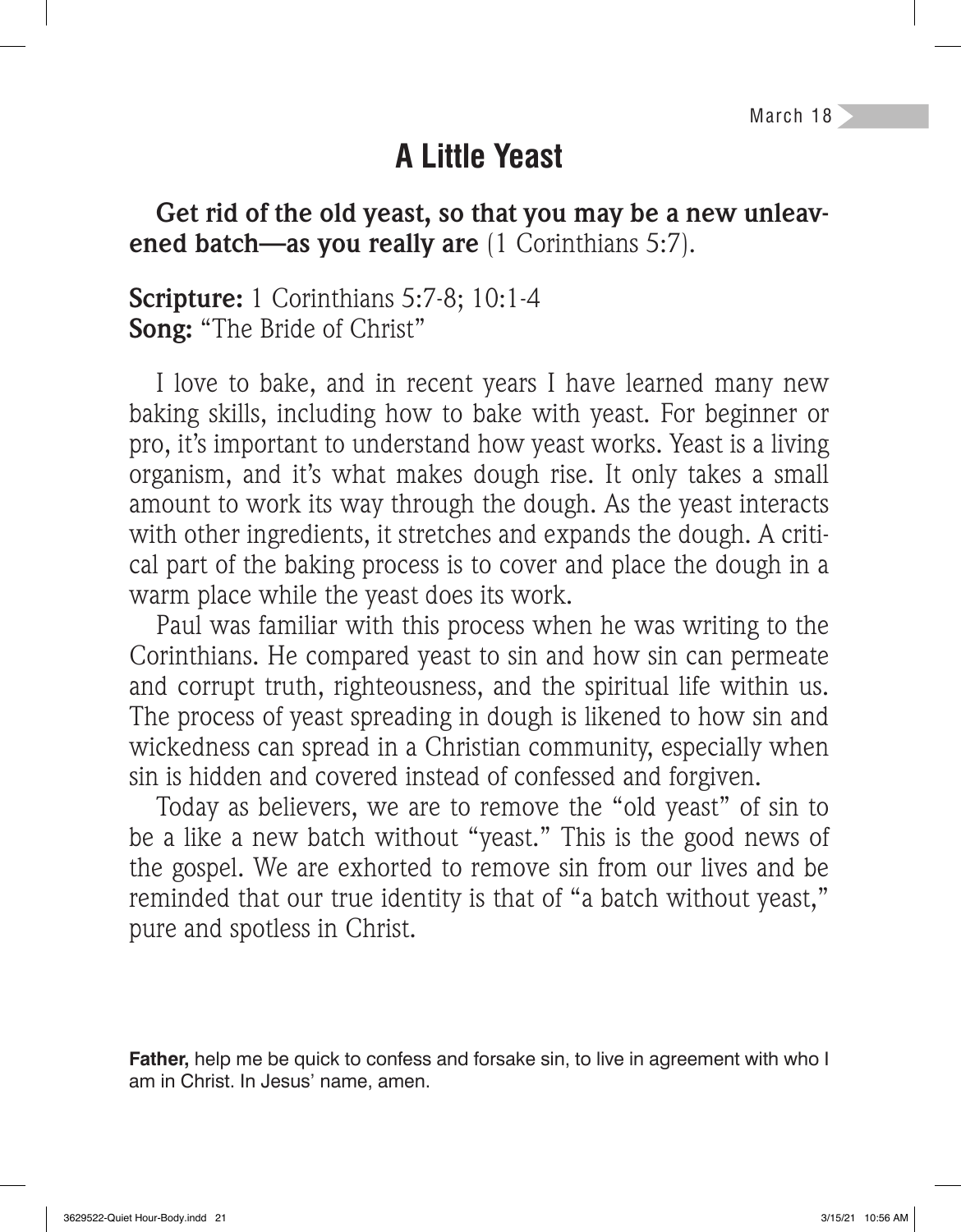## **A Little Yeast**

**Get rid of the old yeast, so that you may be a new unleavened batch—as you really are** (1 Corinthians 5:7).

**Scripture:** 1 Corinthians 5:7-8; 10:1-4 **Song:** "The Bride of Christ"

I love to bake, and in recent years I have learned many new baking skills, including how to bake with yeast. For beginner or pro, it's important to understand how yeast works. Yeast is a living organism, and it's what makes dough rise. It only takes a small amount to work its way through the dough. As the yeast interacts with other ingredients, it stretches and expands the dough. A critical part of the baking process is to cover and place the dough in a warm place while the yeast does its work.

Paul was familiar with this process when he was writing to the Corinthians. He compared yeast to sin and how sin can permeate and corrupt truth, righteousness, and the spiritual life within us. The process of yeast spreading in dough is likened to how sin and wickedness can spread in a Christian community, especially when sin is hidden and covered instead of confessed and forgiven.

Today as believers, we are to remove the "old yeast" of sin to be a like a new batch without "yeast." This is the good news of the gospel. We are exhorted to remove sin from our lives and be reminded that our true identity is that of "a batch without yeast," pure and spotless in Christ.

**Father,** help me be quick to confess and forsake sin, to live in agreement with who I am in Christ. In Jesus' name, amen.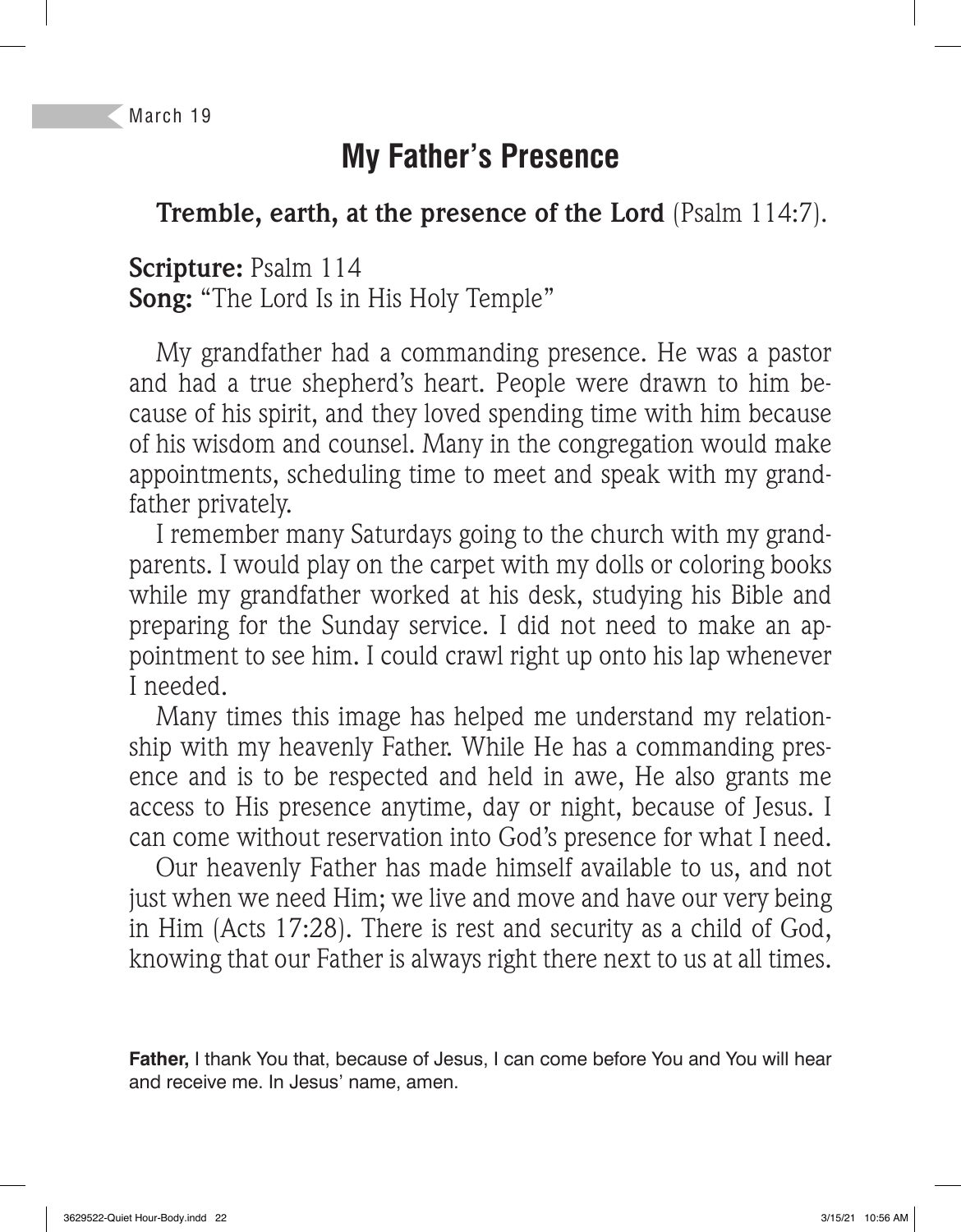# **My Father's Presence**

#### **Tremble, earth, at the presence of the Lord** (Psalm 114:7).

**Scripture:** Psalm 114 **Song:** "The Lord Is in His Holy Temple"

My grandfather had a commanding presence. He was a pastor and had a true shepherd's heart. People were drawn to him because of his spirit, and they loved spending time with him because of his wisdom and counsel. Many in the congregation would make appointments, scheduling time to meet and speak with my grandfather privately.

I remember many Saturdays going to the church with my grandparents. I would play on the carpet with my dolls or coloring books while my grandfather worked at his desk, studying his Bible and preparing for the Sunday service. I did not need to make an appointment to see him. I could crawl right up onto his lap whenever I needed.

Many times this image has helped me understand my relationship with my heavenly Father. While He has a commanding presence and is to be respected and held in awe, He also grants me access to His presence anytime, day or night, because of Jesus. I can come without reservation into God's presence for what I need.

Our heavenly Father has made himself available to us, and not just when we need Him; we live and move and have our very being in Him (Acts 17:28). There is rest and security as a child of God, knowing that our Father is always right there next to us at all times.

**Father,** I thank You that, because of Jesus, I can come before You and You will hear and receive me. In Jesus' name, amen.